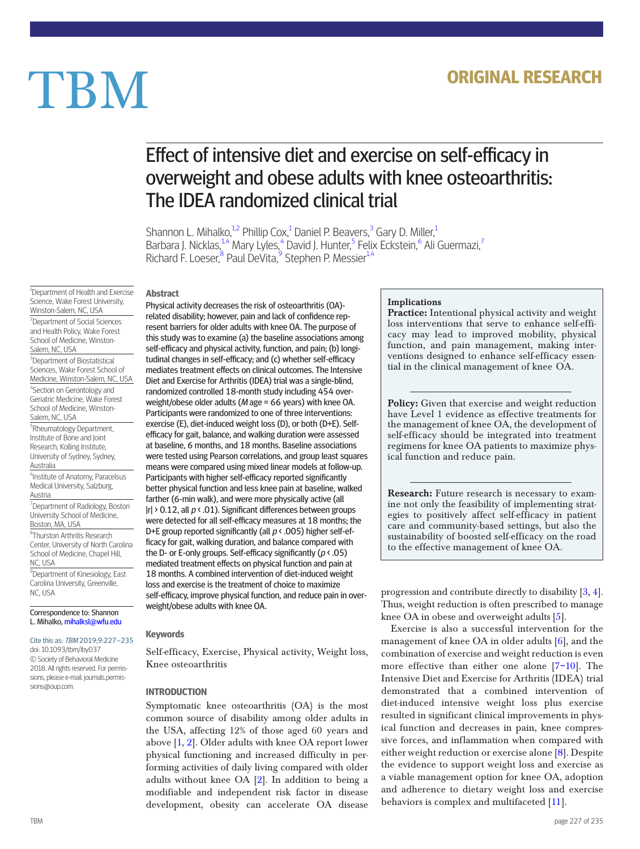### **ORIGINAL RESEARCH**

# **TBM**

## Effect of intensive diet and exercise on self-efficacy in overweight and obese adults with knee osteoarthritis: The IDEA randomized clinical trial

Shannon L. Mihalko,<sup>[1](#page-0-0),[2](#page-0-1)</sup> Phillip Cox,<sup>1</sup> Daniel P. Beavers,<sup>[3](#page-0-2)</sup> Gary D. Miller,<sup>1</sup> Barbara J. Nicklas,<sup>1[4](#page-0-3)</sup> Mary Lyles,<sup>4</sup> David J. Hunter,<sup>[5](#page-0-4)</sup> Felix Eckstein,<sup>[6](#page-0-5)</sup> Ali Guermazi,<sup>[7](#page-0-6)</sup> Richard F. Loeser,<sup>[8](#page-0-7)</sup> Paul DeVita,<sup>[9](#page-0-8)</sup> Stephen P. Messier<sup>1,[4](#page-0-3)</sup>

<span id="page-0-0"></span>**Abstract** <sup>1</sup>Department of Health and Exercise Science, Wake Forest University, Winston-Salem, NC, USA

<span id="page-0-1"></span>2 Department of Social Sciences and Health Policy, Wake Forest School of Medicine, Winston-Salem, NC, USA

<span id="page-0-3"></span><span id="page-0-2"></span><sup>3</sup>Department of Biostatistical Sciences, Wake Forest School of Medicine, Winston-Salem, NC, USA 4 Section on Gerontology and Geriatric Medicine, Wake Forest School of Medicine, Winston-Salem, NC, USA

<span id="page-0-4"></span>5 Rheumatology Department, Institute of Bone and Joint Research, Kolling Institute, University of Sydney, Sydney, Australia

<span id="page-0-5"></span>6 Institute of Anatomy, Paracelsus Medical University, Salzburg, Austria

<span id="page-0-6"></span>7 Department of Radiology, Boston University School of Medicine, Boston, MA, USA

<span id="page-0-7"></span>8 Thurston Arthritis Research Center, University of North Carolina School of Medicine, Chapel Hill, NC, USA

<span id="page-0-8"></span>9 Department of Kinesiology, East Carolina University, Greenville, NC, USA

Correspondence to: Shannon L. Mihalko, [mihalksl@wfu.edu](mailto:mihalksl@wfu.edu?subject=)

© Society of Behavioral Medicine 2018. All rights reserved. For permissions, please e-mail: journals.permissions@oup.com. Cite this as: TBM 2019;9:227–235 doi: 10.1093/tbm/iby037

Physical activity decreases the risk of osteoarthritis (OA) related disability; however, pain and lack of confidence represent barriers for older adults with knee OA. The purpose of this study was to examine (a) the baseline associations among self-efficacy and physical activity, function, and pain; (b) longitudinal changes in self-efficacy; and (c) whether self-efficacy

mediates treatment effects on clinical outcomes. The Intensive Diet and Exercise for Arthritis (IDEA) trial was a single-blind, randomized controlled 18-month study including 454 overweight/obese older adults (M age = 66 years) with knee OA. Participants were randomized to one of three interventions: exercise (E), diet-induced weight loss (D), or both (D+E). Selfefficacy for gait, balance, and walking duration were assessed at baseline, 6 months, and 18 months. Baseline associations were tested using Pearson correlations, and group least squares means were compared using mixed linear models at follow-up. Participants with higher self-efficacy reported significantly better physical function and less knee pain at baseline, walked farther (6-min walk), and were more physically active (all  $|r| > 0.12$ , all  $p < .01$ ). Significant differences between groups were detected for all self-efficacy measures at 18 months; the D+E group reported significantly (all  $p \leftarrow .005$ ) higher self-efficacy for gait, walking duration, and balance compared with the D- or E-only groups. Self-efficacy significantly  $(p \wedge .05)$ mediated treatment effects on physical function and pain at 18 months. A combined intervention of diet-induced weight loss and exercise is the treatment of choice to maximize self-efficacy, improve physical function, and reduce pain in overweight/obese adults with knee OA.

#### **Keywords**

Self-efficacy, Exercise, Physical activity, Weight loss, Knee osteoarthritis

#### **INTRODUCTION**

Symptomatic knee osteoarthritis (OA) is the most common source of disability among older adults in the USA, affecting 12% of those aged 60 years and above [[1](#page-7-0), [2\]](#page-7-1). Older adults with knee OA report lower physical functioning and increased difficulty in performing activities of daily living compared with older adults without knee OA [\[2\]](#page-7-1). In addition to being a modifiable and independent risk factor in disease development, obesity can accelerate OA disease

#### Implications

Practice: Intentional physical activity and weight loss interventions that serve to enhance self-efficacy may lead to improved mobility, physical function, and pain management, making interventions designed to enhance self-efficacy essential in the clinical management of knee OA.

Policy: Given that exercise and weight reduction have Level 1 evidence as effective treatments for the management of knee OA, the development of self-efficacy should be integrated into treatment regimens for knee OA patients to maximize physical function and reduce pain.

Research: Future research is necessary to examine not only the feasibility of implementing strategies to positively affect self-efficacy in patient care and community-based settings, but also the sustainability of boosted self-efficacy on the road to the effective management of knee OA.

progression and contribute directly to disability [\[3](#page-7-2), [4](#page-7-3)]. Thus, weight reduction is often prescribed to manage knee OA in obese and overweight adults [\[5](#page-7-4)].

Exercise is also a successful intervention for the management of knee OA in older adults [[6\]](#page-7-5), and the combination of exercise and weight reduction is even more effective than either one alone [7–10]. The Intensive Diet and Exercise for Arthritis (IDEA) trial demonstrated that a combined intervention of diet-induced intensive weight loss plus exercise resulted in significant clinical improvements in physical function and decreases in pain, knee compressive forces, and inflammation when compared with either weight reduction or exercise alone [[8\]](#page-7-6). Despite the evidence to support weight loss and exercise as a viable management option for knee OA, adoption and adherence to dietary weight loss and exercise behaviors is complex and multifaceted [[11](#page-7-7)].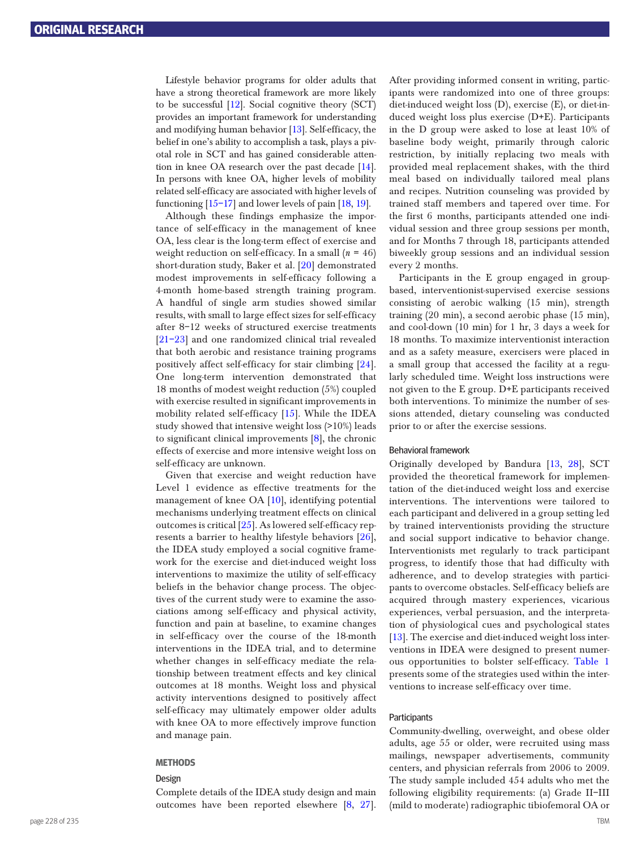Lifestyle behavior programs for older adults that have a strong theoretical framework are more likely to be successful [\[12](#page-7-8)]. Social cognitive theory (SCT) provides an important framework for understanding and modifying human behavior [[13\]](#page-7-9). Self-efficacy, the belief in one's ability to accomplish a task, plays a pivotal role in SCT and has gained considerable attention in knee OA research over the past decade [\[14\]](#page-7-10). In persons with knee OA, higher levels of mobility related self-efficacy are associated with higher levels of functioning  $[15-17]$  and lower levels of pain  $[18, 19]$  $[18, 19]$  $[18, 19]$ .

Although these findings emphasize the importance of self-efficacy in the management of knee OA, less clear is the long-term effect of exercise and weight reduction on self-efficacy. In a small  $(n = 46)$ short-duration study, Baker et al. [[20\]](#page-7-13) demonstrated modest improvements in self-efficacy following a 4-month home-based strength training program. A handful of single arm studies showed similar results, with small to large effect sizes for self-efficacy after 8–12 weeks of structured exercise treatments [21–23] and one randomized clinical trial revealed that both aerobic and resistance training programs positively affect self-efficacy for stair climbing [[24\]](#page-7-14). One long-term intervention demonstrated that 18 months of modest weight reduction (5%) coupled with exercise resulted in significant improvements in mobility related self-efficacy [[15](#page-7-15)]. While the IDEA study showed that intensive weight loss (>10%) leads to significant clinical improvements [\[8](#page-7-6)], the chronic effects of exercise and more intensive weight loss on self-efficacy are unknown.

Given that exercise and weight reduction have Level 1 evidence as effective treatments for the management of knee OA [[10](#page-7-16)], identifying potential mechanisms underlying treatment effects on clinical outcomes is critical [\[25](#page-7-17)]. As lowered self-efficacy represents a barrier to healthy lifestyle behaviors [[26\]](#page-7-18), the IDEA study employed a social cognitive framework for the exercise and diet-induced weight loss interventions to maximize the utility of self-efficacy beliefs in the behavior change process. The objectives of the current study were to examine the associations among self-efficacy and physical activity, function and pain at baseline, to examine changes in self-efficacy over the course of the 18-month interventions in the IDEA trial, and to determine whether changes in self-efficacy mediate the relationship between treatment effects and key clinical outcomes at 18 months. Weight loss and physical activity interventions designed to positively affect self-efficacy may ultimately empower older adults with knee OA to more effectively improve function and manage pain.

#### **METHODS**

#### Design

Complete details of the IDEA study design and main outcomes have been reported elsewhere [\[8](#page-7-6), [27\]](#page-7-19).

After providing informed consent in writing, participants were randomized into one of three groups: diet-induced weight loss (D), exercise (E), or diet-induced weight loss plus exercise (D+E). Participants in the D group were asked to lose at least 10% of baseline body weight, primarily through caloric restriction, by initially replacing two meals with provided meal replacement shakes, with the third meal based on individually tailored meal plans and recipes. Nutrition counseling was provided by trained staff members and tapered over time. For the first 6 months, participants attended one individual session and three group sessions per month, and for Months 7 through 18, participants attended biweekly group sessions and an individual session every 2 months.

Participants in the E group engaged in groupbased, interventionist-supervised exercise sessions consisting of aerobic walking (15 min), strength training (20 min), a second aerobic phase (15 min), and cool-down (10 min) for 1 hr, 3 days a week for 18 months. To maximize interventionist interaction and as a safety measure, exercisers were placed in a small group that accessed the facility at a regularly scheduled time. Weight loss instructions were not given to the E group. D+E participants received both interventions. To minimize the number of sessions attended, dietary counseling was conducted prior to or after the exercise sessions.

#### Behavioral framework

Originally developed by Bandura [[13](#page-7-9), [28\]](#page-7-20), SCT provided the theoretical framework for implementation of the diet-induced weight loss and exercise interventions. The interventions were tailored to each participant and delivered in a group setting led by trained interventionists providing the structure and social support indicative to behavior change. Interventionists met regularly to track participant progress, to identify those that had difficulty with adherence, and to develop strategies with participants to overcome obstacles. Self-efficacy beliefs are acquired through mastery experiences, vicarious experiences, verbal persuasion, and the interpretation of physiological cues and psychological states [\[13\]](#page-7-9). The exercise and diet-induced weight loss interventions in IDEA were designed to present numerous opportunities to bolster self-efficacy. [Table 1](#page-2-0) presents some of the strategies used within the interventions to increase self-efficacy over time.

#### **Participants**

Community-dwelling, overweight, and obese older adults, age 55 or older, were recruited using mass mailings, newspaper advertisements, community centers, and physician referrals from 2006 to 2009. The study sample included 454 adults who met the following eligibility requirements: (a) Grade II–III (mild to moderate) radiographic tibiofemoral OA or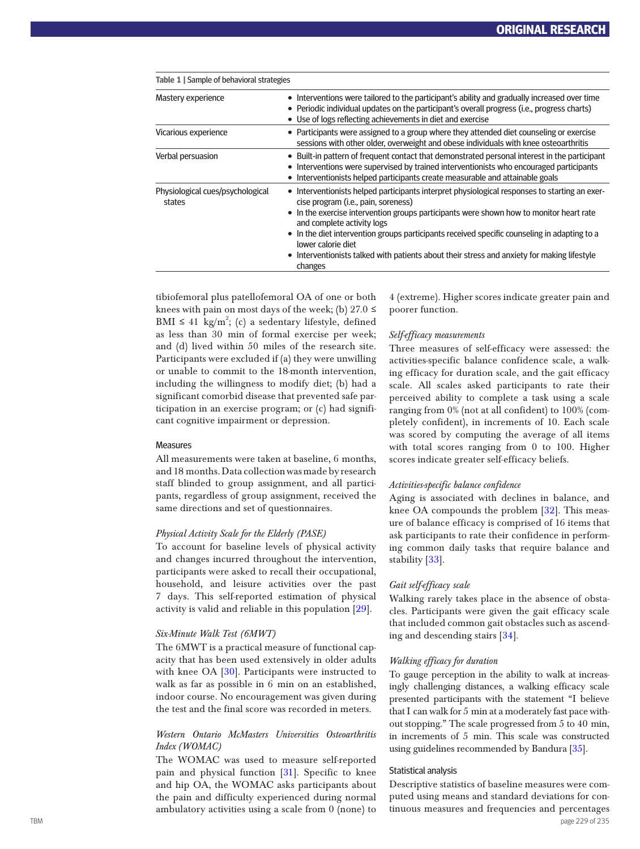<span id="page-2-0"></span>

| <b>Table 1   Sample of behavioral strategies</b> |                                                                                                                                                                                                                                                                                                                                                                                                                                                                                                        |  |  |  |
|--------------------------------------------------|--------------------------------------------------------------------------------------------------------------------------------------------------------------------------------------------------------------------------------------------------------------------------------------------------------------------------------------------------------------------------------------------------------------------------------------------------------------------------------------------------------|--|--|--|
| Mastery experience                               | • Interventions were tailored to the participant's ability and gradually increased over time<br>• Periodic individual updates on the participant's overall progress (i.e., progress charts)<br>• Use of logs reflecting achievements in diet and exercise                                                                                                                                                                                                                                              |  |  |  |
| Vicarious experience                             | • Participants were assigned to a group where they attended diet counseling or exercise<br>sessions with other older, overweight and obese individuals with knee osteoarthritis                                                                                                                                                                                                                                                                                                                        |  |  |  |
| Verbal persuasion                                | • Built-in pattern of frequent contact that demonstrated personal interest in the participant<br>• Interventions were supervised by trained interventionists who encouraged participants<br>• Interventionists helped participants create measurable and attainable goals                                                                                                                                                                                                                              |  |  |  |
| Physiological cues/psychological<br>states       | • Interventionists helped participants interpret physiological responses to starting an exer-<br>cise program ( <i>i.e.</i> , pain, soreness)<br>• In the exercise intervention groups participants were shown how to monitor heart rate<br>and complete activity logs<br>• In the diet intervention groups participants received specific counseling in adapting to a<br>lower calorie diet<br>• Interventionists talked with patients about their stress and anxiety for making lifestyle<br>changes |  |  |  |

tibiofemoral plus patellofemoral OA of one or both knees with pain on most days of the week; (b) 27.0  $\le$ BMI  $\leq 41$  kg/m<sup>2</sup>; (c) a sedentary lifestyle, defined as less than 30 min of formal exercise per week; and (d) lived within 50 miles of the research site. Participants were excluded if (a) they were unwilling or unable to commit to the 18-month intervention, including the willingness to modify diet; (b) had a significant comorbid disease that prevented safe participation in an exercise program; or (c) had significant cognitive impairment or depression.

#### Measures

All measurements were taken at baseline, 6 months, and 18 months. Data collection was made by research staff blinded to group assignment, and all participants, regardless of group assignment, received the same directions and set of questionnaires.

#### *Physical Activity Scale for the Elderly (PASE)*

To account for baseline levels of physical activity and changes incurred throughout the intervention, participants were asked to recall their occupational, household, and leisure activities over the past 7 days. This self-reported estimation of physical activity is valid and reliable in this population [\[29](#page-7-21)].

#### *Six-Minute Walk Test (6MWT)*

The 6MWT is a practical measure of functional capacity that has been used extensively in older adults with knee OA [\[30](#page-7-22)]. Participants were instructed to walk as far as possible in 6 min on an established, indoor course. No encouragement was given during the test and the final score was recorded in meters.

#### *Western Ontario McMasters Universities Osteoarthritis Index (WOMAC)*

The WOMAC was used to measure self-reported pain and physical function [[31](#page-7-23)]. Specific to knee and hip OA, the WOMAC asks participants about the pain and difficulty experienced during normal ambulatory activities using a scale from 0 (none) to

4 (extreme). Higher scores indicate greater pain and poorer function.

#### *Self-efficacy measurements*

Three measures of self-efficacy were assessed: the activities-specific balance confidence scale, a walking efficacy for duration scale, and the gait efficacy scale. All scales asked participants to rate their perceived ability to complete a task using a scale ranging from 0% (not at all confident) to 100% (completely confident), in increments of 10. Each scale was scored by computing the average of all items with total scores ranging from 0 to 100. Higher scores indicate greater self-efficacy beliefs.

#### *Activities-specific balance confidence*

Aging is associated with declines in balance, and knee OA compounds the problem [\[32](#page-7-24)]. This measure of balance efficacy is comprised of 16 items that ask participants to rate their confidence in performing common daily tasks that require balance and stability [[33\]](#page-7-25).

#### *Gait self-efficacy scale*

Walking rarely takes place in the absence of obstacles. Participants were given the gait efficacy scale that included common gait obstacles such as ascending and descending stairs [\[34](#page-7-26)].

#### *Walking efficacy for duration*

To gauge perception in the ability to walk at increasingly challenging distances, a walking efficacy scale presented participants with the statement "I believe that I can walk for 5 min at a moderately fast pace without stopping." The scale progressed from 5 to 40 min, in increments of 5 min. This scale was constructed using guidelines recommended by Bandura [\[35](#page-7-27)].

#### Statistical analysis

TBM page 229 of 235 Descriptive statistics of baseline measures were computed using means and standard deviations for continuous measures and frequencies and percentages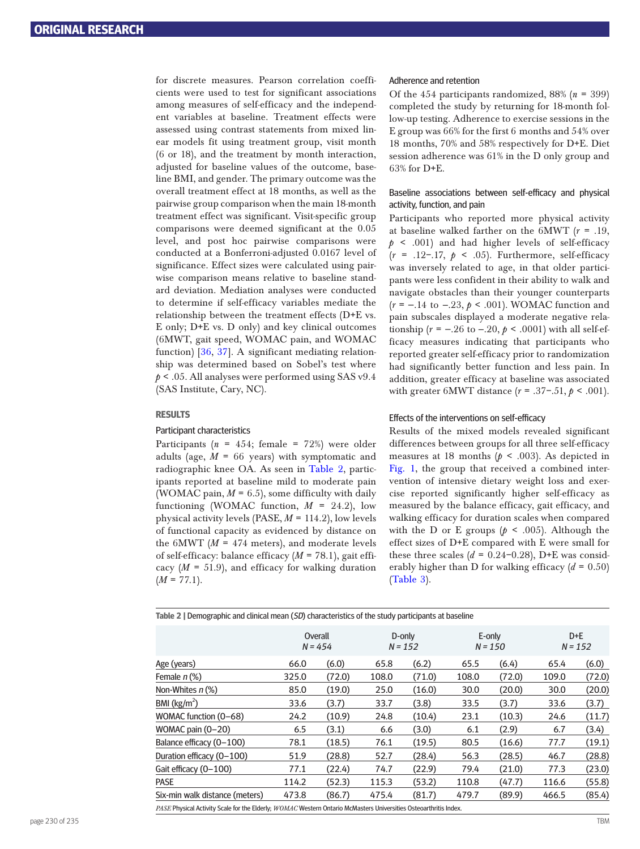for discrete measures. Pearson correlation coefficients were used to test for significant associations among measures of self-efficacy and the independent variables at baseline. Treatment effects were assessed using contrast statements from mixed linear models fit using treatment group, visit month (6 or 18), and the treatment by month interaction, adjusted for baseline values of the outcome, baseline BMI, and gender. The primary outcome was the overall treatment effect at 18 months, as well as the pairwise group comparison when the main 18-month treatment effect was significant. Visit-specific group comparisons were deemed significant at the 0.05 level, and post hoc pairwise comparisons were conducted at a Bonferroni-adjusted 0.0167 level of significance. Effect sizes were calculated using pairwise comparison means relative to baseline standard deviation. Mediation analyses were conducted to determine if self-efficacy variables mediate the relationship between the treatment effects (D+E vs. E only; D+E vs. D only) and key clinical outcomes (6MWT, gait speed, WOMAC pain, and WOMAC function) [[36,](#page-8-0) [37](#page-8-1)]. A significant mediating relationship was determined based on Sobel's test where *p* < .05. All analyses were performed using SAS v9.4 (SAS Institute, Cary, NC).

#### **RESULTS**

#### Participant characteristics

Participants ( $n = 454$ ; female = 72%) were older adults (age,  $M = 66$  years) with symptomatic and radiographic knee OA. As seen in [Table 2](#page-3-0), participants reported at baseline mild to moderate pain (WOMAC pain,  $M = 6.5$ ), some difficulty with daily functioning (WOMAC function,  $M = 24.2$ ), low physical activity levels (PASE, *M* = 114.2), low levels of functional capacity as evidenced by distance on the 6MWT  $(M = 474$  meters), and moderate levels of self-efficacy: balance efficacy (*M* = 78.1), gait efficacy  $(M = 51.9)$ , and efficacy for walking duration  $(M = 77.1)$ .

#### Adherence and retention

Of the 454 participants randomized, 88% (*n* = 399) completed the study by returning for 18-month follow-up testing. Adherence to exercise sessions in the E group was 66% for the first 6 months and 54% over 18 months, 70% and 58% respectively for D+E. Diet session adherence was 61% in the D only group and 63% for D+E.

#### Baseline associations between self-efficacy and physical activity, function, and pain

Participants who reported more physical activity at baseline walked farther on the 6MWT (*r* = .19,  $p \sim .001$  and had higher levels of self-efficacy  $(r = .12 - .17, p < .05)$ . Furthermore, self-efficacy was inversely related to age, in that older participants were less confident in their ability to walk and navigate obstacles than their younger counterparts (*r* = −.14 to −.23, *p* < .001). WOMAC function and pain subscales displayed a moderate negative relationship ( $r = -0.26$  to  $-0.20$ ,  $p$  < .0001) with all self-efficacy measures indicating that participants who reported greater self-efficacy prior to randomization had significantly better function and less pain. In addition, greater efficacy at baseline was associated with greater 6MWT distance  $(r = .37-.51, p < .001)$ .

#### Effects of the interventions on self-efficacy

Results of the mixed models revealed significant differences between groups for all three self-efficacy measures at 18 months  $(p < .003)$ . As depicted in [Fig. 1](#page-4-0), the group that received a combined intervention of intensive dietary weight loss and exercise reported significantly higher self-efficacy as measured by the balance efficacy, gait efficacy, and walking efficacy for duration scales when compared with the D or E groups ( $p < .005$ ). Although the effect sizes of D+E compared with E were small for these three scales  $(d = 0.24 - 0.28)$ , D+E was considerably higher than D for walking efficacy  $(d = 0.50)$ ([Table 3](#page-5-0)).

<span id="page-3-0"></span>**Table 2 |** Demographic and clinical mean (SD) characteristics of the study participants at baseline

|                                | Overall<br>$N = 454$ |        | D-only<br>$N = 152$ |        | E-only<br>$N = 150$ |        | $D + E$<br>$N = 152$ |        |
|--------------------------------|----------------------|--------|---------------------|--------|---------------------|--------|----------------------|--------|
| Age (years)                    | 66.0                 | (6.0)  | 65.8                | (6.2)  | 65.5                | (6.4)  | 65.4                 | (6.0)  |
| Female $n$ (%)                 | 325.0                | (72.0) | 108.0               | (71.0) | 108.0               | (72.0) | 109.0                | (72.0) |
| Non-Whites $n$ (%)             | 85.0                 | (19.0) | 25.0                | (16.0) | 30.0                | (20.0) | 30.0                 | (20.0) |
| BMI ( $\text{kg/m}^2$ )        | 33.6                 | (3.7)  | 33.7                | (3.8)  | 33.5                | (3.7)  | 33.6                 | (3.7)  |
| WOMAC function (0-68)          | 24.2                 | (10.9) | 24.8                | (10.4) | 23.1                | (10.3) | 24.6                 | (11.7) |
| WOMAC pain $(0-20)$            | 6.5                  | (3.1)  | 6.6                 | (3.0)  | 6.1                 | (2.9)  | 6.7                  | (3.4)  |
| Balance efficacy (0-100)       | 78.1                 | (18.5) | 76.1                | (19.5) | 80.5                | (16.6) | 77.7                 | (19.1) |
| Duration efficacy (0-100)      | 51.9                 | (28.8) | 52.7                | (28.4) | 56.3                | (28.5) | 46.7                 | (28.8) |
| Gait efficacy $(0-100)$        | 77.1                 | (22.4) | 74.7                | (22.9) | 79.4                | (21.0) | 77.3                 | (23.0) |
| <b>PASE</b>                    | 114.2                | (52.3) | 115.3               | (53.2) | 110.8               | (47.7) | 116.6                | (55.8) |
| Six-min walk distance (meters) | 473.8                | (86.7) | 475.4               | (81.7) | 479.7               | (89.9) | 466.5                | (85.4) |
|                                |                      |        |                     |        |                     |        |                      |        |

*PASE* Physical Activity Scale for the Elderly; *WOMAC* Western Ontario McMasters Universities Osteoarthritis Index.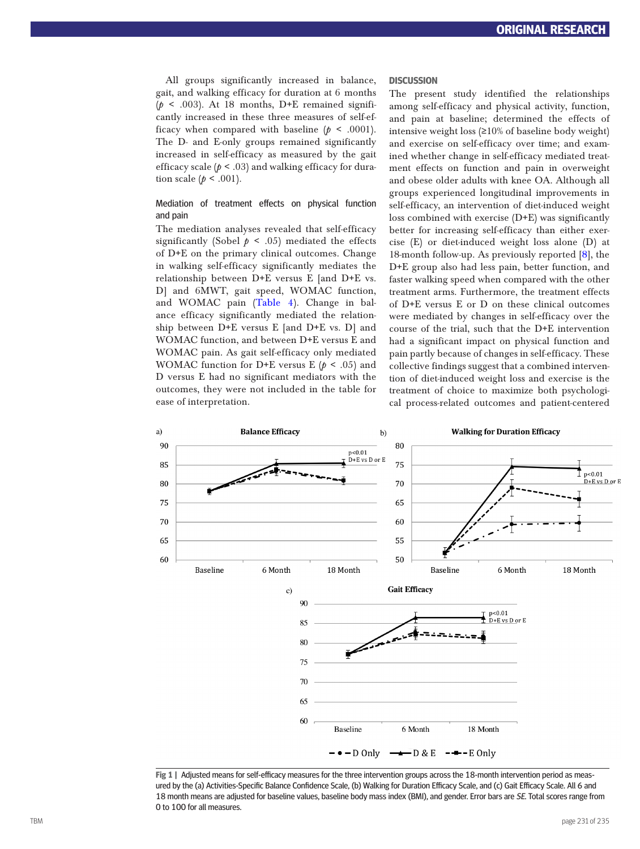All groups significantly increased in balance, gait, and walking efficacy for duration at 6 months ( $p \leq .003$ ). At 18 months, D+E remained significantly increased in these three measures of self-efficacy when compared with baseline  $(p < .0001)$ . The D- and E-only groups remained significantly increased in self-efficacy as measured by the gait efficacy scale ( $p < .03$ ) and walking efficacy for duration scale ( $\phi$  < .001).

#### Mediation of treatment effects on physical function and pain

The mediation analyses revealed that self-efficacy significantly (Sobel  $p \leq .05$ ) mediated the effects of D+E on the primary clinical outcomes. Change in walking self-efficacy significantly mediates the relationship between D+E versus E [and D+E vs. D] and 6MWT, gait speed, WOMAC function, and WOMAC pain ([Table 4](#page-5-1)). Change in balance efficacy significantly mediated the relationship between D+E versus E [and D+E vs. D] and WOMAC function, and between D+E versus E and WOMAC pain. As gait self-efficacy only mediated WOMAC function for D+E versus E (*p* < .05) and D versus E had no significant mediators with the outcomes, they were not included in the table for ease of interpretation.

#### **DISCUSSION**

The present study identified the relationships among self-efficacy and physical activity, function, and pain at baseline; determined the effects of intensive weight loss (≥10% of baseline body weight) and exercise on self-efficacy over time; and examined whether change in self-efficacy mediated treatment effects on function and pain in overweight and obese older adults with knee OA. Although all groups experienced longitudinal improvements in self-efficacy, an intervention of diet-induced weight loss combined with exercise (D+E) was significantly better for increasing self-efficacy than either exercise (E) or diet-induced weight loss alone (D) at 18-month follow-up. As previously reported [[8\]](#page-7-6), the D+E group also had less pain, better function, and faster walking speed when compared with the other treatment arms. Furthermore, the treatment effects of D+E versus E or D on these clinical outcomes were mediated by changes in self-efficacy over the course of the trial, such that the D+E intervention had a significant impact on physical function and pain partly because of changes in self-efficacy. These collective findings suggest that a combined intervention of diet-induced weight loss and exercise is the treatment of choice to maximize both psychological process-related outcomes and patient-centered



<span id="page-4-0"></span>**Fig 1 |** Adjusted means for self-efficacy measures for the three intervention groups across the 18-month intervention period as measured by the (a) Activities-Specific Balance Confidence Scale, (b) Walking for Duration Efficacy Scale, and (c) Gait Efficacy Scale. All 6 and 18 month means are adjusted for baseline values, baseline body mass index (BMI), and gender. Error bars are SE. Total scores range from 0 to 100 for all measures.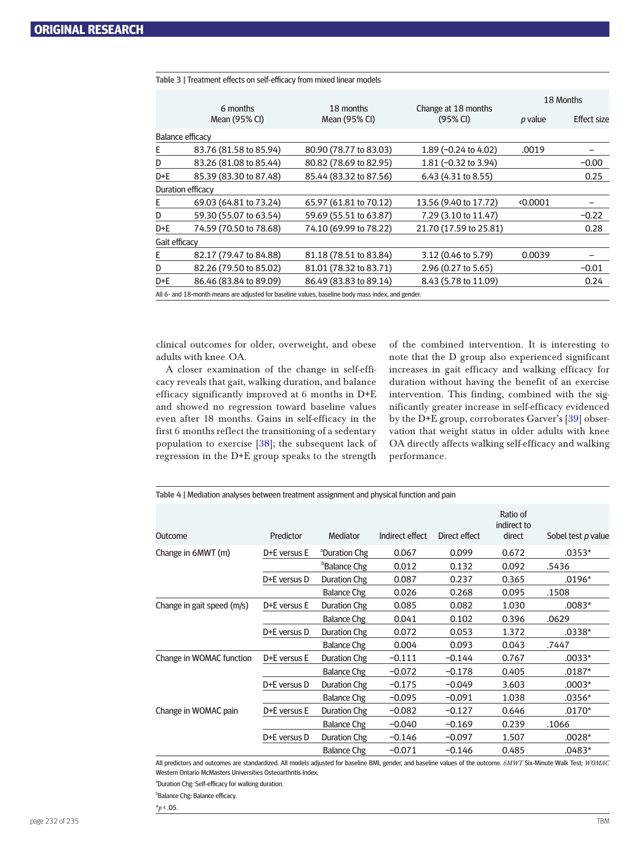<span id="page-5-0"></span>

|                                                                                                   | Table 3   Treatment effects on self-efficacy from mixed linear models |                        |                         |                |                    |  |
|---------------------------------------------------------------------------------------------------|-----------------------------------------------------------------------|------------------------|-------------------------|----------------|--------------------|--|
|                                                                                                   | 6 months                                                              | 18 months              | Change at 18 months     | 18 Months      |                    |  |
|                                                                                                   | Mean (95% CI)                                                         | Mean (95% CI)          | $(95% \, \text{Cl})$    | <i>p</i> value | <b>Effect size</b> |  |
| Balance efficacy                                                                                  |                                                                       |                        |                         |                |                    |  |
| Ε                                                                                                 | 83.76 (81.58 to 85.94)                                                | 80.90 (78.77 to 83.03) | 1.89 ( $-0.24$ to 4.02) | .0019          |                    |  |
| D                                                                                                 | 83.26 (81.08 to 85.44)                                                | 80.82 (78.69 to 82.95) | 1.81 $(-0.32$ to 3.94)  |                | $-0.00$            |  |
| D+E                                                                                               | 85.39 (83.30 to 87.48)                                                | 85.44 (83.32 to 87.56) | $6.43$ (4.31 to 8.55)   |                | 0.25               |  |
|                                                                                                   | Duration efficacy                                                     |                        |                         |                |                    |  |
| E.                                                                                                | 69.03 (64.81 to 73.24)                                                | 65.97 (61.81 to 70.12) | 13.56 (9.40 to 17.72)   | 0.0001         |                    |  |
| D                                                                                                 | 59.30 (55.07 to 63.54)                                                | 59.69 (55.51 to 63.87) | 7.29 (3.10 to 11.47)    |                | $-0.22$            |  |
| $D+E$                                                                                             | 74.59 (70.50 to 78.68)                                                | 74.10 (69.99 to 78.22) | 21.70 (17.59 to 25.81)  |                | 0.28               |  |
| Gait efficacy                                                                                     |                                                                       |                        |                         |                |                    |  |
| E                                                                                                 | 82.17 (79.47 to 84.88)                                                | 81.18 (78.51 to 83.84) | 3.12 (0.46 to 5.79)     | 0.0039         |                    |  |
| D                                                                                                 | 82.26 (79.50 to 85.02)                                                | 81.01 (78.32 to 83.71) | 2.96 (0.27 to 5.65)     |                | $-0.01$            |  |
| $D + E$                                                                                           | 86.46 (83.84 to 89.09)                                                | 86.49 (83.83 to 89.14) | 8.43 (5.78 to 11.09)    |                | 0.24               |  |
| All 6- and 18-month means are adjusted for baseline values, baseline body mass index, and gender. |                                                                       |                        |                         |                |                    |  |

clinical outcomes for older, overweight, and obese adults with knee OA.

A closer examination of the change in self-efficacy reveals that gait, walking duration, and balance efficacy significantly improved at 6 months in D+E and showed no regression toward baseline values even after 18 months. Gains in self-efficacy in the first 6 months reflect the transitioning of a sedentary population to exercise [[38\]](#page-8-2); the subsequent lack of regression in the D+E group speaks to the strength

of the combined intervention. It is interesting to note that the D group also experienced significant increases in gait efficacy and walking efficacy for duration without having the benefit of an exercise intervention. This finding, combined with the significantly greater increase in self-efficacy evidenced by the D+E group, corroborates Garver's [[39\]](#page-8-3) observation that weight status in older adults with knee OA directly affects walking self-efficacy and walking performance.

<span id="page-5-1"></span>**Table 4 |** Mediation analyses between treatment assignment and physical function and pain

| Outcome                    | Predictor    | Mediator                  | Indirect effect | Direct effect | Ratio of<br>indirect to<br>direct | Sobel test p value |
|----------------------------|--------------|---------------------------|-----------------|---------------|-----------------------------------|--------------------|
| Change in 6MWT (m)         | D+E versus E | <sup>a</sup> Duration Chg | 0.067           | 0.099         | 0.672                             | $.0353*$           |
|                            |              | <sup>D</sup> Balance Chg  | 0.012           | 0.132         | 0.092                             | .5436              |
|                            | D+E versus D | Duration Chg              | 0.087           | 0.237         | 0.365                             | $.0196*$           |
|                            |              | <b>Balance Chg</b>        | 0.026           | 0.268         | 0.095                             | .1508              |
| Change in gait speed (m/s) | D+E versus E | Duration Chg              | 0.085           | 0.082         | 1.030                             | .0083*             |
|                            |              | <b>Balance Chg</b>        | 0.041           | 0.102         | 0.396                             | .0629              |
|                            | D+E versus D | Duration Chg              | 0.072           | 0.053         | 1.372                             | .0338*             |
|                            |              | <b>Balance Chg</b>        | 0.004           | 0.093         | 0.043                             | .7447              |
| Change in WOMAC function   | D+E versus E | Duration Chg              | $-0.111$        | $-0.144$      | 0.767                             | $.0033*$           |
|                            |              | <b>Balance Chg</b>        | $-0.072$        | $-0.178$      | 0.405                             | $.0187*$           |
|                            | D+E versus D | Duration Chg              | $-0.175$        | $-0.049$      | 3.603                             | .0003*             |
|                            |              | <b>Balance Chg</b>        | $-0.095$        | $-0.091$      | 1.038                             | $.0356*$           |
| Change in WOMAC pain       | D+E versus E | Duration Chg              | $-0.082$        | $-0.127$      | 0.646                             | .0170*             |
|                            |              | <b>Balance Chg</b>        | $-0.040$        | $-0.169$      | 0.239                             | .1066              |
|                            | D+E versus D | Duration Chg              | $-0.146$        | $-0.097$      | 1.507                             | .0028*             |
|                            |              | <b>Balance Chg</b>        | $-0.071$        | $-0.146$      | 0.485                             | .0483*             |

All predictors and outcomes are standardized. All models adjusted for baseline BMI, gender, and baseline values of the outcome. *6MWT* Six-Minute Walk Test; *WOMAC* Western Ontario McMasters Universities Osteoarthritis Index.

a Duration Chg: Self-efficacy for walking duration.

**Balance Chg: Balance efficacy.** 

\**p* < .05.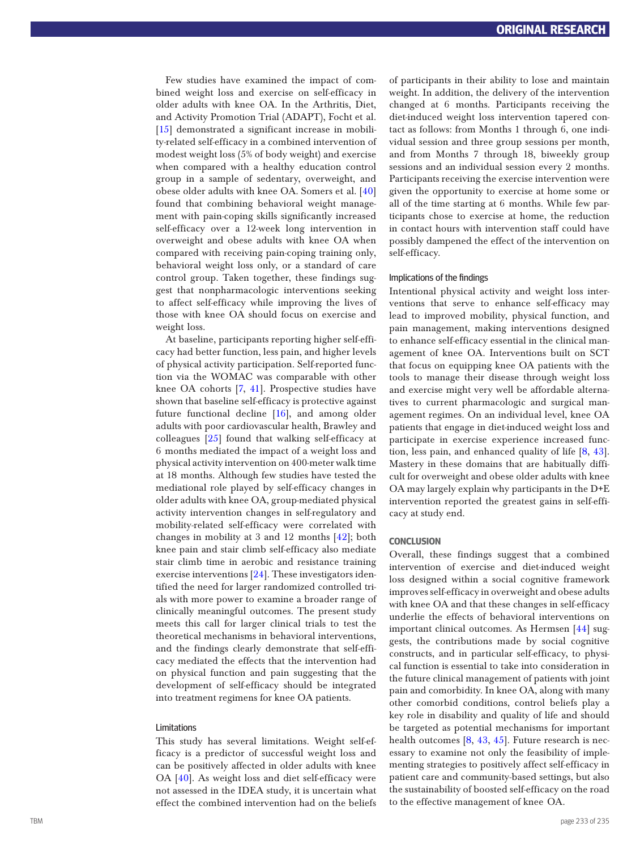Few studies have examined the impact of com bined weight loss and exercise on self-efficacy in older adults with knee OA. In the Arthritis, Diet, and Activity Promotion Trial (ADAPT), Focht et al. [[15\]](#page-7-15) demonstrated a significant increase in mobility-related self-efficacy in a combined intervention of modest weight loss (5% of body weight) and exercise when compared with a healthy education control group in a sample of sedentary, overweight, and obese older adults with knee OA. Somers et al. [\[40](#page-8-4)] found that combining behavioral weight management with pain-coping skills significantly increased self-efficacy over a 12-week long intervention in overweight and obese adults with knee OA when compared with receiving pain-coping training only, behavioral weight loss only, or a standard of care control group. Taken together, these findings suggest that nonpharmacologic interventions seeking to affect self-efficacy while improving the lives of those with knee OA should focus on exercise and weight loss.

At baseline, participants reporting higher self-effi cacy had better function, less pain, and higher levels of physical activity participation. Self-reported func tion via the WOMAC was comparable with other knee OA cohorts [ [7](#page-7-28), [41](#page-8-5)]. Prospective studies have shown that baseline self-efficacy is protective against future functional decline [\[16\]](#page-7-29), and among older adults with poor cardiovascular health, Brawley and colleagues [\[25](#page-7-17)] found that walking self-efficacy at 6 months mediated the impact of a weight loss and physical activity intervention on 400-meter walk time at 18 months. Although few studies have tested the mediational role played by self-efficacy changes in older adults with knee OA, group-mediated physical activity intervention changes in self-regulatory and mobility-related self-efficacy were correlated with changes in mobility at 3 and 12 months [\[42](#page-8-6)]; both knee pain and stair climb self-efficacy also mediate stair climb time in aerobic and resistance training exercise interventions [[24\]](#page-7-14). These investigators identified the need for larger randomized controlled tri als with more power to examine a broader range of clinically meaningful outcomes. The present study meets this call for larger clinical trials to test the theoretical mechanisms in behavioral interventions, and the findings clearly demonstrate that self-effi cacy mediated the effects that the intervention had on physical function and pain suggesting that the development of self-efficacy should be integrated into treatment regimens for knee OA patients.

#### Limitations

This study has several limitations. Weight self-efficacy is a predictor of successful weight loss and can be positively affected in older adults with knee OA [[40\]](#page-8-4). As weight loss and diet self-efficacy were not assessed in the IDEA study, it is uncertain what effect the combined intervention had on the beliefs

of participants in their ability to lose and maintain weight. In addition, the delivery of the intervention changed at 6 months. Participants receiving the diet-induced weight loss intervention tapered con tact as follows: from Months 1 through 6, one indi vidual session and three group sessions per month, and from Months 7 through 18, biweekly group sessions and an individual session every 2 months. Participants receiving the exercise intervention were given the opportunity to exercise at home some or all of the time starting at 6 months. While few participants chose to exercise at home, the reduction in contact hours with intervention staff could have possibly dampened the effect of the intervention on self-efficacy.

#### Implications of the findings

Intentional physical activity and weight loss interventions that serve to enhance self-efficacy may lead to improved mobility, physical function, and pain management, making interventions designed to enhance self-efficacy essential in the clinical man agement of knee OA. Interventions built on SCT that focus on equipping knee OA patients with the tools to manage their disease through weight loss and exercise might very well be affordable alternatives to current pharmacologic and surgical management regimes. On an individual level, knee OA patients that engage in diet-induced weight loss and participate in exercise experience increased func tion, less pain, and enhanced quality of life [ [8,](#page-7-6) [43\]](#page-8-7). Mastery in these domains that are habitually diffi cult for overweight and obese older adults with knee OA may largely explain why participants in the D+E intervention reported the greatest gains in self-effi cacy at study end.

#### **CONCLUSION**

Overall, these findings suggest that a combined intervention of exercise and diet-induced weight loss designed within a social cognitive framework improves self-efficacy in overweight and obese adults with knee OA and that these changes in self-efficacy underlie the effects of behavioral interventions on important clinical outcomes. As Hermsen [\[44](#page-8-8)] suggests, the contributions made by social cognitive constructs, and in particular self-efficacy, to physi cal function is essential to take into consideration in the future clinical management of patients with joint pain and comorbidity. In knee OA, along with many other comorbid conditions, control beliefs play a key role in disability and quality of life and should be targeted as potential mechanisms for important health outcomes [[8,](#page-7-6) [43,](#page-8-7) [45](#page-8-9)]. Future research is necessary to examine not only the feasibility of imple menting strategies to positively affect self-efficacy in patient care and community-based settings, but also the sustainability of boosted self-efficacy on the road to the effective management of knee OA.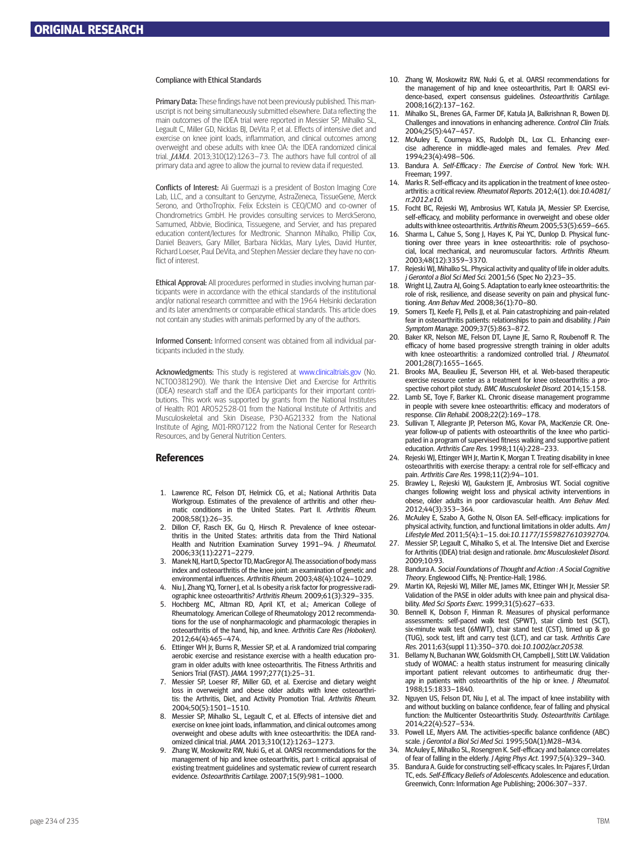#### Compliance with Ethical Standards

Primary Data: These findings have not been previously published. This manuscript is not being simultaneously submitted elsewhere. Data reflecting the main outcomes of the IDEA trial were reported in Messier SP, Mihalko SL, Legault C, Miller GD, Nicklas BJ, DeVita P, et al. Effects of intensive diet and exercise on knee joint loads, inflammation, and clinical outcomes among overweight and obese adults with knee OA: the IDEA randomized clinical trial. *JAMA*. 2013;310(12):1263–73. The authors have full control of all primary data and agree to allow the journal to review data if requested.

Conflicts of Interest: Ali Guermazi is a president of Boston Imaging Core Lab, LLC, and a consultant to Genzyme, AstraZeneca, TissueGene, Merck Serono, and OrthoTrophix. Felix Eckstein is CEO/CMO and co-owner of Chondrometrics GmbH. He provides consulting services to MerckSerono, Samumed, Abbvie, Bioclinica, Tissuegene, and Servier, and has prepared education content/lectures for Medtronic. Shannon Mihalko, Phillip Cox, Daniel Beavers, Gary Miller, Barbara Nicklas, Mary Lyles, David Hunter, Richard Loeser, Paul DeVita, and Stephen Messier declare they have no conflict of interest.

Ethical Approval: All procedures performed in studies involving human participants were in accordance with the ethical standards of the institutional and/or national research committee and with the 1964 Helsinki declaration and its later amendments or comparable ethical standards. This article does not contain any studies with animals performed by any of the authors.

Informed Consent: Informed consent was obtained from all individual participants included in the study.

Acknowledgments: This study is registered at [www.clinicaltrials.gov](http://www.clinicaltrials.gov) (No. NCT00381290). We thank the Intensive Diet and Exercise for Arthritis (IDEA) research staff and the IDEA participants for their important contributions. This work was supported by grants from the National Institutes of Health: R01 AR052528-01 from the National Institute of Arthritis and Musculoskeletal and Skin Disease, P30-AG21332 from the National Institute of Aging, M01-RR07122 from the National Center for Research Resources, and by General Nutrition Centers.

#### **References**

- <span id="page-7-0"></span>1. Lawrence RC, Felson DT, Helmick CG, et al.; National Arthritis Data Workgroup. Estimates of the prevalence of arthritis and other rheumatic conditions in the United States. Part II. Arthritis Rheum. 2008;58(1):26–35.
- <span id="page-7-1"></span>2. Dillon CF, Rasch EK, Gu Q, Hirsch R. Prevalence of knee osteoarthritis in the United States: arthritis data from the Third National Health and Nutrition Examination Survey 1991–94. J Rheumatol. 2006;33(11):2271–2279.
- <span id="page-7-2"></span>3. Manek NJ, Hart D, Spector TD, MacGregor AJ. The association of body mass index and osteoarthritis of the knee joint: an examination of genetic and environmental influences. Arthritis Rheum. 2003;48(4):1024–1029.
- <span id="page-7-3"></span>4. Niu J, Zhang YQ, Torner J, et al. Is obesity a risk factor for progressive radiographic knee osteoarthritis? Arthritis Rheum. 2009;61(3):329–335.
- <span id="page-7-4"></span>5. Hochberg MC, Altman RD, April KT, et al.; American College of Rheumatology. American College of Rheumatology 2012 recommendations for the use of nonpharmacologic and pharmacologic therapies in osteoarthritis of the hand, hip, and knee. Arthritis Care Res (Hoboken). 2012;64(4):465–474.
- <span id="page-7-5"></span>6. Ettinger WH Jr, Burns R, Messier SP, et al. A randomized trial comparing aerobic exercise and resistance exercise with a health education program in older adults with knee osteoarthritis. The Fitness Arthritis and .<br>eniors Trial (FAST). JAMA. 1997;277(1):25-31.
- <span id="page-7-28"></span>7. Messier SP, Loeser RF, Miller GD, et al. Exercise and dietary weight loss in overweight and obese older adults with knee osteoarthritis: the Arthritis, Diet, and Activity Promotion Trial. Arthritis Rheum. 2004;50(5):1501–1510.
- <span id="page-7-6"></span>8. Messier SP, Mihalko SL, Legault C, et al. Effects of intensive diet and exercise on knee joint loads, inflammation, and clinical outcomes among overweight and obese adults with knee osteoarthritis: the IDEA randomized clinical trial. JAMA. 2013;310(12):1263–1273.
- 9. Zhang W, Moskowitz RW, Nuki G, et al. OARSI recommendations for the management of hip and knee osteoarthritis, part I: critical appraisal of existing treatment guidelines and systematic review of current research evidence. Osteoarthritis Cartilage. 2007;15(9):981–1000.
- <span id="page-7-16"></span>10. Zhang W, Moskowitz RW, Nuki G, et al. OARSI recommendations for the management of hip and knee osteoarthritis, Part II: OARSI evidence-based, expert consensus guidelines. Osteoarthritis Cartilage. 2008;16(2):137–162.
- <span id="page-7-7"></span>11. Mihalko SL, Brenes GA, Farmer DF, Katula JA, Balkrishnan R, Bowen DJ. Challenges and innovations in enhancing adherence. Control Clin Trials. 2004;25(5):447–457.
- <span id="page-7-8"></span>12. McAuley E, Courneya KS, Rudolph DL, Lox CL. Enhancing exercise adherence in middle-aged males and females. Prev Med. 1994;23(4):498–506.
- <span id="page-7-9"></span>13. Bandura A. Self-Efficacy: The Exercise of Control. New York: W.H. Freeman; 1997.
- <span id="page-7-10"></span>14. Marks R. Self-efficacy and its application in the treatment of knee osteoarthritis: a critical review. Rheumatol Reports. 2012;4(1). doi:10.4081/ rr.2012.e10.
- <span id="page-7-15"></span>15. Focht BC, Rejeski WJ, Ambrosius WT, Katula JA, Messier SP. Exercise, self-efficacy, and mobility performance in overweight and obese older adults with knee osteoarthritis. Arthritis Rheum. 2005;53(5):659–665.
- <span id="page-7-29"></span>Sharma L, Cahue S, Song J, Hayes K, Pai YC, Dunlop D. Physical functioning over three years in knee osteoarthritis: role of psychosocial, local mechanical, and neuromuscular factors. Arthritis Rheum. 2003;48(12):3359–3370.
- 17. Rejeski WJ, Mihalko SL. Physical activity and quality of life in older adults. j Gerontol a Biol Sci Med Sci. 2001;56 (Spec No 2):23–35.
- <span id="page-7-11"></span>18. Wright LJ, Zautra AJ, Going S. Adaptation to early knee osteoarthritis: the role of risk, resilience, and disease severity on pain and physical functioning. Ann Behav Med. 2008;36(1):70–80.
- <span id="page-7-12"></span>Somers TJ, Keefe FJ, Pells JJ, et al. Pain catastrophizing and pain-related fear in osteoarthritis patients: relationships to pain and disability. J Pain Symptom Manage. 2009;37(5):863–872.
- <span id="page-7-13"></span>Baker KR, Nelson ME, Felson DT, Layne JE, Sarno R, Roubenoff R. The efficacy of home based progressive strength training in older adults with knee osteoarthritis: a randomized controlled trial. *I Rheumatol.* 2001;28(7):1655–1665.
- 21. Brooks MA, Beaulieu JE, Severson HH, et al. Web-based therapeutic exercise resource center as a treatment for knee osteoarthritis: a prospective cohort pilot study. BMC Musculoskelet Disord. 2014;15:158.
- 22. Lamb SE, Toye F, Barker KL. Chronic disease management programme in people with severe knee osteoarthritis: efficacy and moderators of response. Clin Rehabil. 2008;22(2):169–178.
- 23. Sullivan T, Allegrante JP, Peterson MG, Kovar PA, MacKenzie CR. Oneyear follow-up of patients with osteoarthritis of the knee who participated in a program of supervised fitness walking and supportive patient education. Arthritis Care Res. 1998;11(4):228–233.
- <span id="page-7-14"></span>Rejeski WJ, Ettinger WH Jr, Martin K, Morgan T. Treating disability in knee osteoarthritis with exercise therapy: a central role for self-efficacy and pain. Arthritis Care Res. 1998;11(2):94–101.
- <span id="page-7-17"></span>25. Brawley L, Rejeski WJ, Gaukstern JE, Ambrosius WT. Social cognitive changes following weight loss and physical activity interventions in obese, older adults in poor cardiovascular health. Ann Behav Med. 2012;44(3):353–364.
- <span id="page-7-18"></span>26. McAuley E, Szabo A, Gothe N, Olson EA. Self-efficacy: implications for physical activity, function, and functional limitations in older adults. Am J Lifestyle Med. 2011;5(4):1–15. doi:10.1177/1559827610392704.
- <span id="page-7-19"></span>27. Messier SP, Legault C, Mihalko S, et al. The Intensive Diet and Exercise for Arthritis (IDEA) trial: design and rationale. bmc Musculoskelet Disord. 2009;10:93.
- <span id="page-7-20"></span>28. Bandura A. Social Foundations of Thought and Action : A Social Cognitive Theory. Englewood Cliffs, NJ: Prentice-Hall; 1986.
- <span id="page-7-21"></span>29. Martin KA, Rejeski WJ, Miller ME, James MK, Ettinger WH Jr, Messier SP. Validation of the PASE in older adults with knee pain and physical disability. Med Sci Sports Exerc. 1999;31(5):627–633.
- <span id="page-7-22"></span>30. Bennell K, Dobson F, Hinman R. Measures of physical performance assessments: self-paced walk test (SPWT), stair climb test (SCT), six-minute walk test (6MWT), chair stand test (CST), timed up & go (TUG), sock test, lift and carry test (LCT), and car task. Arthritis Care Res. 2011;63(suppl 11):350–370. doi:10.1002/acr.20538.
- <span id="page-7-23"></span>31. Bellamy N, Buchanan WW, Goldsmith CH, Campbell J, Stitt LW. Validation study of WOMAC: a health status instrument for measuring clinically important patient relevant outcomes to antirheumatic drug therapy in patients with osteoarthritis of the hip or knee. J Rheumatol. 1988;15:1833–1840.
- <span id="page-7-24"></span>32. Nguyen US, Felson DT, Niu J, et al. The impact of knee instability with and without buckling on balance confidence, fear of falling and physical function: the Multicenter Osteoarthritis Study. Osteoarthritis Cartilage. 2014;22(4):527–534.
- <span id="page-7-25"></span>Powell LE, Myers AM. The activities-specific balance confidence (ABC) scale. j Gerontol a Biol Sci Med Sci. 1995;50A(1):M28–M34.
- <span id="page-7-26"></span>McAuley E, Mihalko SL, Rosengren K. Self-efficacy and balance correlates of fear of falling in the elderly. J Aging Phys Act. 1997;5(4):329–340.
- <span id="page-7-27"></span>Bandura A. Guide for constructing self-efficacy scales. In: Pajares F, Urdan TC, eds. Self-Efficacy Beliefs of Adolescents. Adolescence and education. Greenwich, Conn: Information Age Publishing; 2006:307–337.